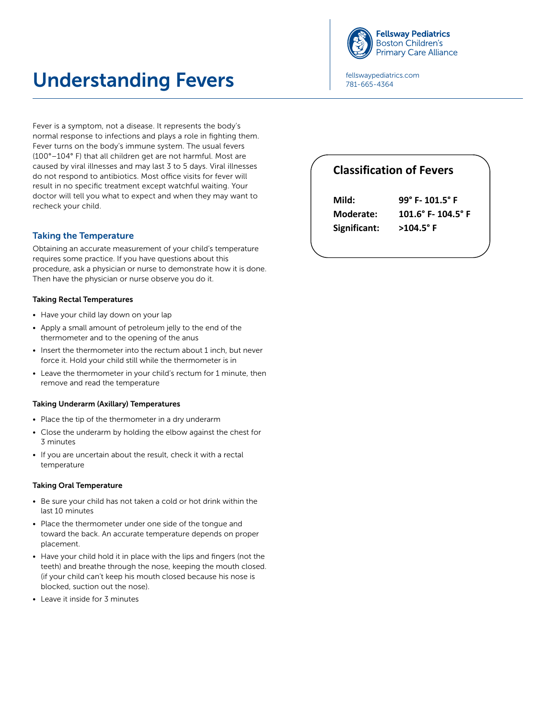

Place the thermometer under one side of the tongue and toward the back. An accurate temperature depends on proper placement.

# Understanding Fevers **Paragediatrics.com Understanding Fevers 3. Taking Oral Temperature**

781-665-4364

Fever is a symptom, not a disease. It represents the body's normal response to infections and plays a role in fighting them. Fever turns on the body's immune system. The usual fevers (100°–104° F) that all children get are not harmful. Most are caused by viral illnesses and may last 3 to 5 days. Viral illnesses do not respond to antibiotics. Most office visits for fever will result in no specific treatment except watchful waiting. Your doctor will tell you what to expect and when they may want to recheck your child. n.<br>Leaven it inside for 3 minutes it is inside for 3 minutes in the 3 minutes in the 3 minutes in the 3 minutes

# Taking the Temperature

Obtaining an accurate measurement of your child's temperature requires some practice. If you have questions about this procedure, ask a physician or nurse to demonstrate how it is done. Then have the physician or nurse observe you do it.

### Taking Rectal Temperatures

- Have your child lay down on your lap
- Apply a small amount of petroleum jelly to the end of the thermometer and to the opening of the anus
- Insert the thermometer into the rectum about 1 inch, but never force it. Hold your child still while the thermometer is in
- Leave the thermometer in your child's rectum for 1 minute, then remove and read the temperature

#### Taking Underarm (Axillary) Temperatures

- Place the tip of the thermometer in a dry underarm
- Close the underarm by holding the elbow against the chest for 3 minutes
- If you are uncertain about the result, check it with a rectal temperature

## Taking Oral Temperature

- Be sure your child has not taken a cold or hot drink within the last 10 minutes
- Place the thermometer under one side of the tongue and toward the back. An accurate temperature depends on proper placement.
- Have your child hold it in place with the lips and fingers (not the teeth) and breathe through the nose, keeping the mouth closed. (if your child can't keep his mouth closed because his nose is blocked, suction out the nose).
- Leave it inside for 3 minutes

# **Classification of Fevers**

| Mild:        | 99° F-101.5° F                       |  |  |  |  |
|--------------|--------------------------------------|--|--|--|--|
| Moderate:    | $101.6^{\circ}$ F- $104.5^{\circ}$ F |  |  |  |  |
| Significant: | $>104.5^{\circ}$ F                   |  |  |  |  |